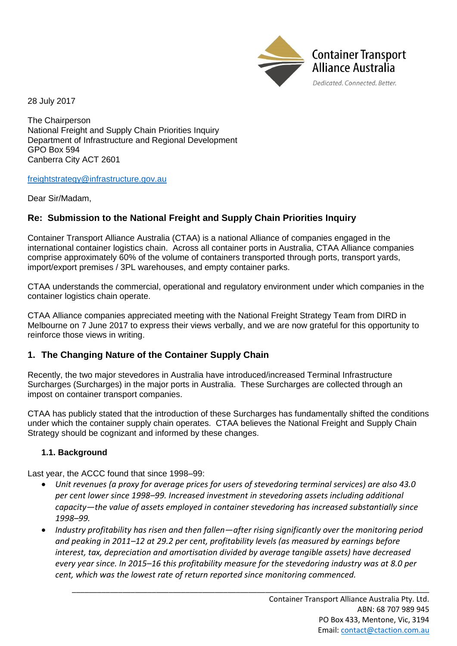

28 July 2017

The Chairperson National Freight and Supply Chain Priorities Inquiry Department of Infrastructure and Regional Development GPO Box 594 Canberra City ACT 2601

#### [freightstrategy@infrastructure.gov.au](mailto:freightstrategy@infrastructure.gov.au)

Dear Sir/Madam,

# **Re: Submission to the National Freight and Supply Chain Priorities Inquiry**

Container Transport Alliance Australia (CTAA) is a national Alliance of companies engaged in the international container logistics chain. Across all container ports in Australia, CTAA Alliance companies comprise approximately 60% of the volume of containers transported through ports, transport yards, import/export premises / 3PL warehouses, and empty container parks.

CTAA understands the commercial, operational and regulatory environment under which companies in the container logistics chain operate.

CTAA Alliance companies appreciated meeting with the National Freight Strategy Team from DIRD in Melbourne on 7 June 2017 to express their views verbally, and we are now grateful for this opportunity to reinforce those views in writing.

### **1. The Changing Nature of the Container Supply Chain**

Recently, the two major stevedores in Australia have introduced/increased Terminal Infrastructure Surcharges (Surcharges) in the major ports in Australia. These Surcharges are collected through an impost on container transport companies.

CTAA has publicly stated that the introduction of these Surcharges has fundamentally shifted the conditions under which the container supply chain operates. CTAA believes the National Freight and Supply Chain Strategy should be cognizant and informed by these changes.

#### **1.1. Background**

Last year, the ACCC found that since 1998–99:

- *Unit revenues (a proxy for average prices for users of stevedoring terminal services) are also 43.0 per cent lower since 1998–99. Increased investment in stevedoring assets including additional capacity—the value of assets employed in container stevedoring has increased substantially since 1998–99.*
- *Industry profitability has risen and then fallen—after rising significantly over the monitoring period and peaking in 2011–12 at 29.2 per cent, profitability levels (as measured by earnings before interest, tax, depreciation and amortisation divided by average tangible assets) have decreased every year since. In 2015–16 this profitability measure for the stevedoring industry was at 8.0 per cent, which was the lowest rate of return reported since monitoring commenced.*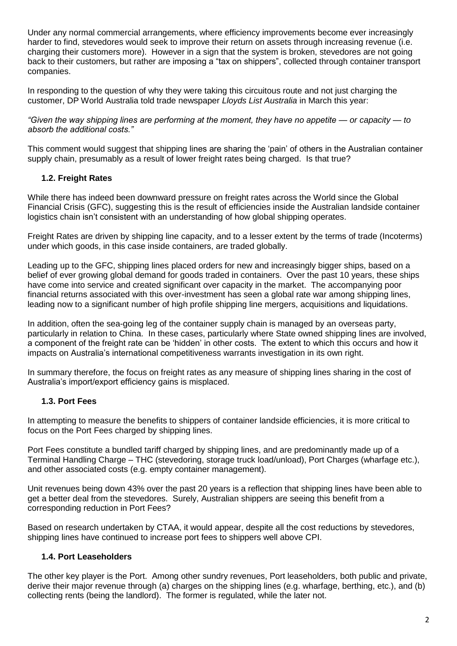Under any normal commercial arrangements, where efficiency improvements become ever increasingly harder to find, stevedores would seek to improve their return on assets through increasing revenue (i.e. charging their customers more). However in a sign that the system is broken, stevedores are not going back to their customers, but rather are imposing a "tax on shippers", collected through container transport companies.

In responding to the question of why they were taking this circuitous route and not just charging the customer, DP World Australia told trade newspaper *Lloyds List Australia* in March this year:

*"Given the way shipping lines are performing at the moment, they have no appetite — or capacity — to absorb the additional costs."*

This comment would suggest that shipping lines are sharing the 'pain' of others in the Australian container supply chain, presumably as a result of lower freight rates being charged. Is that true?

### **1.2. Freight Rates**

While there has indeed been downward pressure on freight rates across the World since the Global Financial Crisis (GFC), suggesting this is the result of efficiencies inside the Australian landside container logistics chain isn't consistent with an understanding of how global shipping operates.

Freight Rates are driven by shipping line capacity, and to a lesser extent by the terms of trade (Incoterms) under which goods, in this case inside containers, are traded globally.

Leading up to the GFC, shipping lines placed orders for new and increasingly bigger ships, based on a belief of ever growing global demand for goods traded in containers. Over the past 10 years, these ships have come into service and created significant over capacity in the market. The accompanying poor financial returns associated with this over-investment has seen a global rate war among shipping lines, leading now to a significant number of high profile shipping line mergers, acquisitions and liquidations.

In addition, often the sea-going leg of the container supply chain is managed by an overseas party, particularly in relation to China. In these cases, particularly where State owned shipping lines are involved, a component of the freight rate can be 'hidden' in other costs. The extent to which this occurs and how it impacts on Australia's international competitiveness warrants investigation in its own right.

In summary therefore, the focus on freight rates as any measure of shipping lines sharing in the cost of Australia's import/export efficiency gains is misplaced.

### **1.3. Port Fees**

In attempting to measure the benefits to shippers of container landside efficiencies, it is more critical to focus on the Port Fees charged by shipping lines.

Port Fees constitute a bundled tariff charged by shipping lines, and are predominantly made up of a Terminal Handling Charge – THC (stevedoring, storage truck load/unload), Port Charges (wharfage etc.), and other associated costs (e.g. empty container management).

Unit revenues being down 43% over the past 20 years is a reflection that shipping lines have been able to get a better deal from the stevedores. Surely, Australian shippers are seeing this benefit from a corresponding reduction in Port Fees?

Based on research undertaken by CTAA, it would appear, despite all the cost reductions by stevedores, shipping lines have continued to increase port fees to shippers well above CPI.

#### **1.4. Port Leaseholders**

The other key player is the Port. Among other sundry revenues, Port leaseholders, both public and private, derive their major revenue through (a) charges on the shipping lines (e.g. wharfage, berthing, etc.), and (b) collecting rents (being the landlord). The former is regulated, while the later not.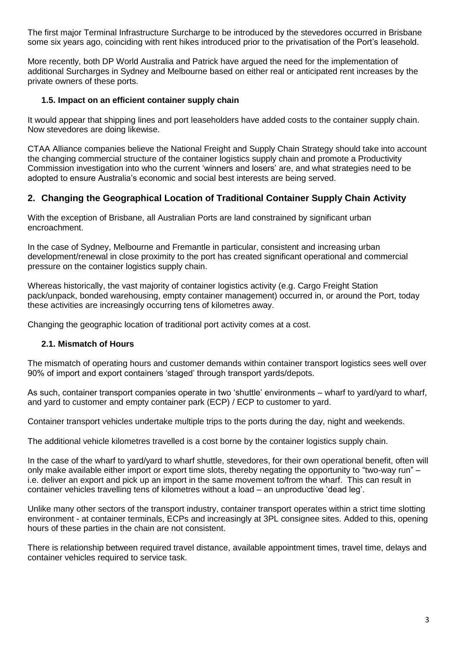The first major Terminal Infrastructure Surcharge to be introduced by the stevedores occurred in Brisbane some six years ago, coinciding with rent hikes introduced prior to the privatisation of the Port's leasehold.

More recently, both DP World Australia and Patrick have argued the need for the implementation of additional Surcharges in Sydney and Melbourne based on either real or anticipated rent increases by the private owners of these ports.

### **1.5. Impact on an efficient container supply chain**

It would appear that shipping lines and port leaseholders have added costs to the container supply chain. Now stevedores are doing likewise.

CTAA Alliance companies believe the National Freight and Supply Chain Strategy should take into account the changing commercial structure of the container logistics supply chain and promote a Productivity Commission investigation into who the current 'winners and losers' are, and what strategies need to be adopted to ensure Australia's economic and social best interests are being served.

# **2. Changing the Geographical Location of Traditional Container Supply Chain Activity**

With the exception of Brisbane, all Australian Ports are land constrained by significant urban encroachment.

In the case of Sydney, Melbourne and Fremantle in particular, consistent and increasing urban development/renewal in close proximity to the port has created significant operational and commercial pressure on the container logistics supply chain.

Whereas historically, the vast majority of container logistics activity (e.g. Cargo Freight Station pack/unpack, bonded warehousing, empty container management) occurred in, or around the Port, today these activities are increasingly occurring tens of kilometres away.

Changing the geographic location of traditional port activity comes at a cost.

#### **2.1. Mismatch of Hours**

The mismatch of operating hours and customer demands within container transport logistics sees well over 90% of import and export containers 'staged' through transport yards/depots.

As such, container transport companies operate in two 'shuttle' environments – wharf to yard/yard to wharf, and yard to customer and empty container park (ECP) / ECP to customer to yard.

Container transport vehicles undertake multiple trips to the ports during the day, night and weekends.

The additional vehicle kilometres travelled is a cost borne by the container logistics supply chain.

In the case of the wharf to yard/yard to wharf shuttle, stevedores, for their own operational benefit, often will only make available either import or export time slots, thereby negating the opportunity to "two-way run" – i.e. deliver an export and pick up an import in the same movement to/from the wharf. This can result in container vehicles travelling tens of kilometres without a load – an unproductive 'dead leg'.

Unlike many other sectors of the transport industry, container transport operates within a strict time slotting environment - at container terminals, ECPs and increasingly at 3PL consignee sites. Added to this, opening hours of these parties in the chain are not consistent.

There is relationship between required travel distance, available appointment times, travel time, delays and container vehicles required to service task.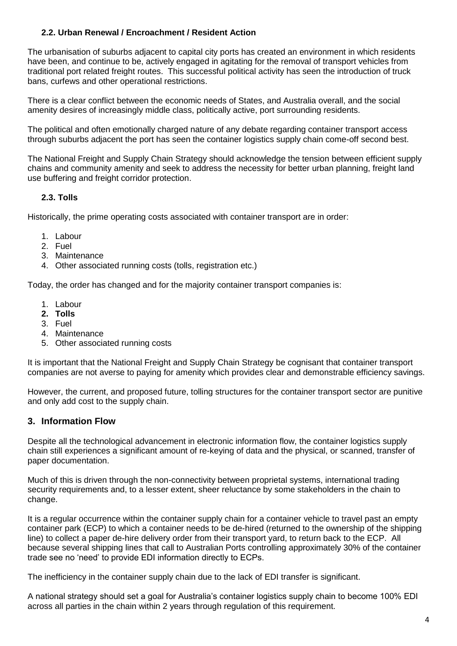## **2.2. Urban Renewal / Encroachment / Resident Action**

The urbanisation of suburbs adjacent to capital city ports has created an environment in which residents have been, and continue to be, actively engaged in agitating for the removal of transport vehicles from traditional port related freight routes. This successful political activity has seen the introduction of truck bans, curfews and other operational restrictions.

There is a clear conflict between the economic needs of States, and Australia overall, and the social amenity desires of increasingly middle class, politically active, port surrounding residents.

The political and often emotionally charged nature of any debate regarding container transport access through suburbs adjacent the port has seen the container logistics supply chain come-off second best.

The National Freight and Supply Chain Strategy should acknowledge the tension between efficient supply chains and community amenity and seek to address the necessity for better urban planning, freight land use buffering and freight corridor protection.

### **2.3. Tolls**

Historically, the prime operating costs associated with container transport are in order:

- 1. Labour
- 2. Fuel
- 3. Maintenance
- 4. Other associated running costs (tolls, registration etc.)

Today, the order has changed and for the majority container transport companies is:

- 1. Labour
- **2. Tolls**
- 3. Fuel
- 4. Maintenance
- 5. Other associated running costs

It is important that the National Freight and Supply Chain Strategy be cognisant that container transport companies are not averse to paying for amenity which provides clear and demonstrable efficiency savings.

However, the current, and proposed future, tolling structures for the container transport sector are punitive and only add cost to the supply chain.

#### **3. Information Flow**

Despite all the technological advancement in electronic information flow, the container logistics supply chain still experiences a significant amount of re-keying of data and the physical, or scanned, transfer of paper documentation.

Much of this is driven through the non-connectivity between proprietal systems, international trading security requirements and, to a lesser extent, sheer reluctance by some stakeholders in the chain to change.

It is a regular occurrence within the container supply chain for a container vehicle to travel past an empty container park (ECP) to which a container needs to be de-hired (returned to the ownership of the shipping line) to collect a paper de-hire delivery order from their transport yard, to return back to the ECP. All because several shipping lines that call to Australian Ports controlling approximately 30% of the container trade see no 'need' to provide EDI information directly to ECPs.

The inefficiency in the container supply chain due to the lack of EDI transfer is significant.

A national strategy should set a goal for Australia's container logistics supply chain to become 100% EDI across all parties in the chain within 2 years through regulation of this requirement.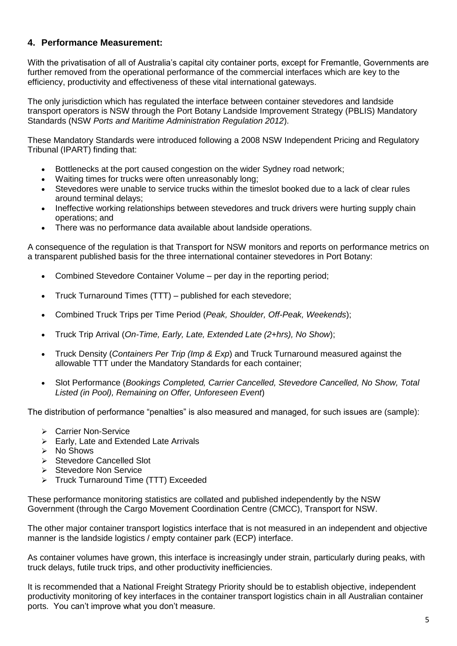# **4. Performance Measurement:**

With the privatisation of all of Australia's capital city container ports, except for Fremantle, Governments are further removed from the operational performance of the commercial interfaces which are key to the efficiency, productivity and effectiveness of these vital international gateways.

The only jurisdiction which has regulated the interface between container stevedores and landside transport operators is NSW through the Port Botany Landside Improvement Strategy (PBLIS) Mandatory Standards (NSW *Ports and Maritime Administration Regulation 2012*).

These Mandatory Standards were introduced following a 2008 NSW Independent Pricing and Regulatory Tribunal (IPART) finding that:

- Bottlenecks at the port caused congestion on the wider Sydney road network;
- Waiting times for trucks were often unreasonably long;
- Stevedores were unable to service trucks within the timeslot booked due to a lack of clear rules around terminal delays;
- Ineffective working relationships between stevedores and truck drivers were hurting supply chain operations; and
- There was no performance data available about landside operations.

A consequence of the regulation is that Transport for NSW monitors and reports on performance metrics on a transparent published basis for the three international container stevedores in Port Botany:

- Combined Stevedore Container Volume per day in the reporting period;
- Truck Turnaround Times (TTT) published for each stevedore;
- Combined Truck Trips per Time Period (*Peak, Shoulder, Off-Peak, Weekends*);
- Truck Trip Arrival (*On-Time, Early, Late, Extended Late (2+hrs), No Show*);
- Truck Density (*Containers Per Trip (Imp & Exp*) and Truck Turnaround measured against the allowable TTT under the Mandatory Standards for each container;
- Slot Performance (*Bookings Completed, Carrier Cancelled, Stevedore Cancelled, No Show, Total Listed (in Pool), Remaining on Offer, Unforeseen Event*)

The distribution of performance "penalties" is also measured and managed, for such issues are (sample):

- Carrier Non-Service
- $\triangleright$  Early, Late and Extended Late Arrivals
- $\triangleright$  No Shows
- $\triangleright$  Stevedore Cancelled Slot
- $\triangleright$  Stevedore Non Service
- > Truck Turnaround Time (TTT) Exceeded

These performance monitoring statistics are collated and published independently by the NSW Government (through the Cargo Movement Coordination Centre (CMCC), Transport for NSW.

The other major container transport logistics interface that is not measured in an independent and objective manner is the landside logistics / empty container park (ECP) interface.

As container volumes have grown, this interface is increasingly under strain, particularly during peaks, with truck delays, futile truck trips, and other productivity inefficiencies.

It is recommended that a National Freight Strategy Priority should be to establish objective, independent productivity monitoring of key interfaces in the container transport logistics chain in all Australian container ports. You can't improve what you don't measure.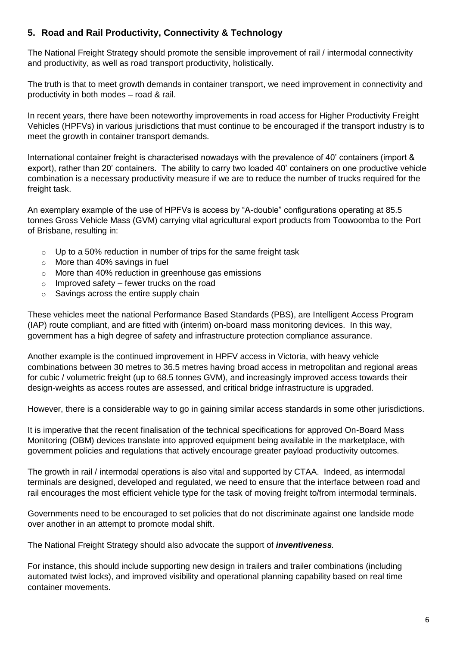# **5. Road and Rail Productivity, Connectivity & Technology**

The National Freight Strategy should promote the sensible improvement of rail / intermodal connectivity and productivity, as well as road transport productivity, holistically.

The truth is that to meet growth demands in container transport, we need improvement in connectivity and productivity in both modes – road & rail.

In recent years, there have been noteworthy improvements in road access for Higher Productivity Freight Vehicles (HPFVs) in various jurisdictions that must continue to be encouraged if the transport industry is to meet the growth in container transport demands.

International container freight is characterised nowadays with the prevalence of 40' containers (import & export), rather than 20' containers. The ability to carry two loaded 40' containers on one productive vehicle combination is a necessary productivity measure if we are to reduce the number of trucks required for the freight task.

An exemplary example of the use of HPFVs is access by "A-double" configurations operating at 85.5 tonnes Gross Vehicle Mass (GVM) carrying vital agricultural export products from Toowoomba to the Port of Brisbane, resulting in:

- $\circ$  Up to a 50% reduction in number of trips for the same freight task
- $\circ$  More than 40% savings in fuel
- o More than 40% reduction in greenhouse gas emissions
- $\circ$  Improved safety fewer trucks on the road
- $\circ$  Savings across the entire supply chain

These vehicles meet the national Performance Based Standards (PBS), are Intelligent Access Program (IAP) route compliant, and are fitted with (interim) on-board mass monitoring devices. In this way, government has a high degree of safety and infrastructure protection compliance assurance.

Another example is the continued improvement in HPFV access in Victoria, with heavy vehicle combinations between 30 metres to 36.5 metres having broad access in metropolitan and regional areas for cubic / volumetric freight (up to 68.5 tonnes GVM), and increasingly improved access towards their design-weights as access routes are assessed, and critical bridge infrastructure is upgraded.

However, there is a considerable way to go in gaining similar access standards in some other jurisdictions.

It is imperative that the recent finalisation of the technical specifications for approved On-Board Mass Monitoring (OBM) devices translate into approved equipment being available in the marketplace, with government policies and regulations that actively encourage greater payload productivity outcomes.

The growth in rail / intermodal operations is also vital and supported by CTAA. Indeed, as intermodal terminals are designed, developed and regulated, we need to ensure that the interface between road and rail encourages the most efficient vehicle type for the task of moving freight to/from intermodal terminals.

Governments need to be encouraged to set policies that do not discriminate against one landside mode over another in an attempt to promote modal shift.

The National Freight Strategy should also advocate the support of *inventiveness.*

For instance, this should include supporting new design in trailers and trailer combinations (including automated twist locks), and improved visibility and operational planning capability based on real time container movements.